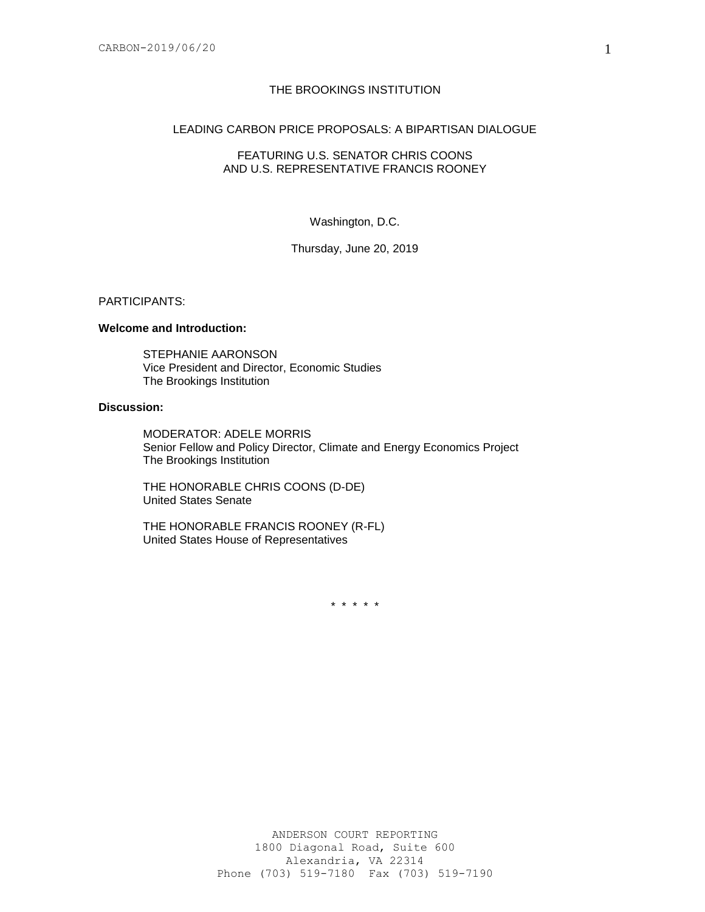# THE BROOKINGS INSTITUTION

# LEADING CARBON PRICE PROPOSALS: A BIPARTISAN DIALOGUE

### FEATURING U.S. SENATOR CHRIS COONS AND U.S. REPRESENTATIVE FRANCIS ROONEY

### Washington, D.C.

### Thursday, June 20, 2019

#### PARTICIPANTS:

# **Welcome and Introduction:**

STEPHANIE AARONSON Vice President and Director, Economic Studies The Brookings Institution

# **Discussion:**

MODERATOR: ADELE MORRIS Senior Fellow and Policy Director, Climate and Energy Economics Project The Brookings Institution

THE HONORABLE CHRIS COONS (D-DE) United States Senate

THE HONORABLE FRANCIS ROONEY (R-FL) United States House of Representatives

\* \* \* \* \*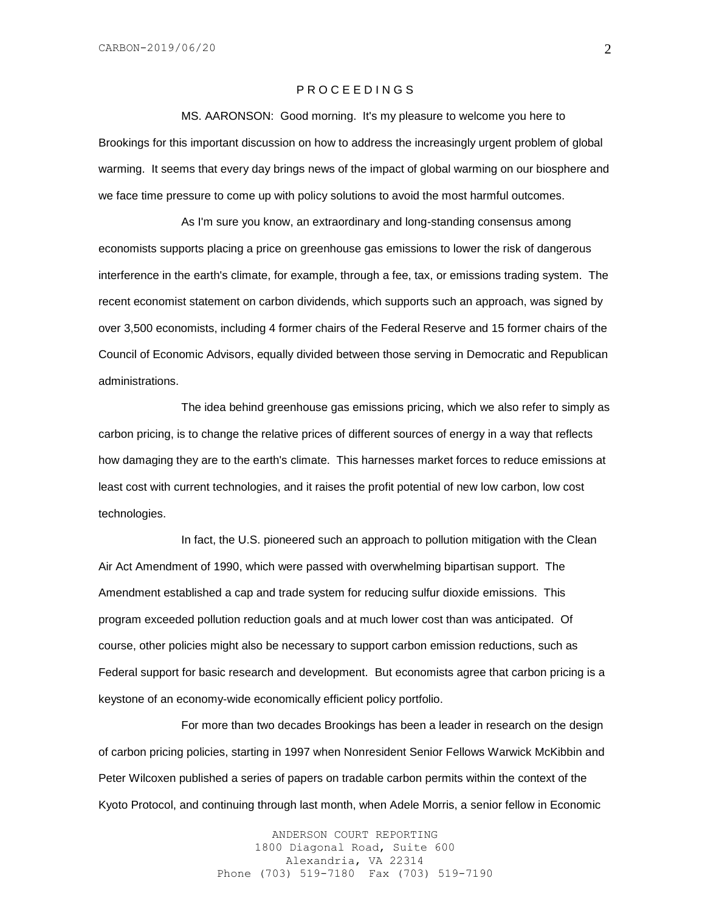### P R O C E E D I N G S

MS. AARONSON: Good morning. It's my pleasure to welcome you here to Brookings for this important discussion on how to address the increasingly urgent problem of global warming. It seems that every day brings news of the impact of global warming on our biosphere and we face time pressure to come up with policy solutions to avoid the most harmful outcomes.

As I'm sure you know, an extraordinary and long-standing consensus among economists supports placing a price on greenhouse gas emissions to lower the risk of dangerous interference in the earth's climate, for example, through a fee, tax, or emissions trading system. The recent economist statement on carbon dividends, which supports such an approach, was signed by over 3,500 economists, including 4 former chairs of the Federal Reserve and 15 former chairs of the Council of Economic Advisors, equally divided between those serving in Democratic and Republican administrations.

The idea behind greenhouse gas emissions pricing, which we also refer to simply as carbon pricing, is to change the relative prices of different sources of energy in a way that reflects how damaging they are to the earth's climate. This harnesses market forces to reduce emissions at least cost with current technologies, and it raises the profit potential of new low carbon, low cost technologies.

In fact, the U.S. pioneered such an approach to pollution mitigation with the Clean Air Act Amendment of 1990, which were passed with overwhelming bipartisan support. The Amendment established a cap and trade system for reducing sulfur dioxide emissions. This program exceeded pollution reduction goals and at much lower cost than was anticipated. Of course, other policies might also be necessary to support carbon emission reductions, such as Federal support for basic research and development. But economists agree that carbon pricing is a keystone of an economy-wide economically efficient policy portfolio.

For more than two decades Brookings has been a leader in research on the design of carbon pricing policies, starting in 1997 when Nonresident Senior Fellows Warwick McKibbin and Peter Wilcoxen published a series of papers on tradable carbon permits within the context of the Kyoto Protocol, and continuing through last month, when Adele Morris, a senior fellow in Economic

> ANDERSON COURT REPORTING 1800 Diagonal Road, Suite 600 Alexandria, VA 22314 Phone (703) 519-7180 Fax (703) 519-7190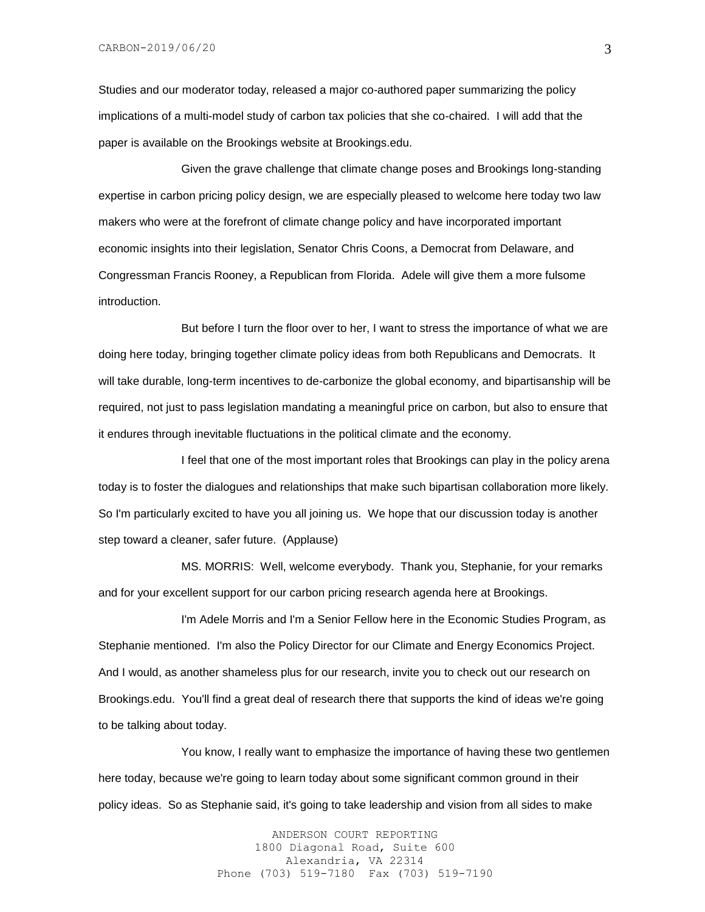Studies and our moderator today, released a major co-authored paper summarizing the policy implications of a multi-model study of carbon tax policies that she co-chaired. I will add that the paper is available on the Brookings website at Brookings.edu.

Given the grave challenge that climate change poses and Brookings long-standing expertise in carbon pricing policy design, we are especially pleased to welcome here today two law makers who were at the forefront of climate change policy and have incorporated important economic insights into their legislation, Senator Chris Coons, a Democrat from Delaware, and Congressman Francis Rooney, a Republican from Florida. Adele will give them a more fulsome introduction.

But before I turn the floor over to her, I want to stress the importance of what we are doing here today, bringing together climate policy ideas from both Republicans and Democrats. It will take durable, long-term incentives to de-carbonize the global economy, and bipartisanship will be required, not just to pass legislation mandating a meaningful price on carbon, but also to ensure that it endures through inevitable fluctuations in the political climate and the economy.

I feel that one of the most important roles that Brookings can play in the policy arena today is to foster the dialogues and relationships that make such bipartisan collaboration more likely. So I'm particularly excited to have you all joining us. We hope that our discussion today is another step toward a cleaner, safer future. (Applause)

MS. MORRIS: Well, welcome everybody. Thank you, Stephanie, for your remarks and for your excellent support for our carbon pricing research agenda here at Brookings.

I'm Adele Morris and I'm a Senior Fellow here in the Economic Studies Program, as Stephanie mentioned. I'm also the Policy Director for our Climate and Energy Economics Project. And I would, as another shameless plus for our research, invite you to check out our research on Brookings.edu. You'll find a great deal of research there that supports the kind of ideas we're going to be talking about today.

You know, I really want to emphasize the importance of having these two gentlemen here today, because we're going to learn today about some significant common ground in their policy ideas. So as Stephanie said, it's going to take leadership and vision from all sides to make

> ANDERSON COURT REPORTING 1800 Diagonal Road, Suite 600 Alexandria, VA 22314 Phone (703) 519-7180 Fax (703) 519-7190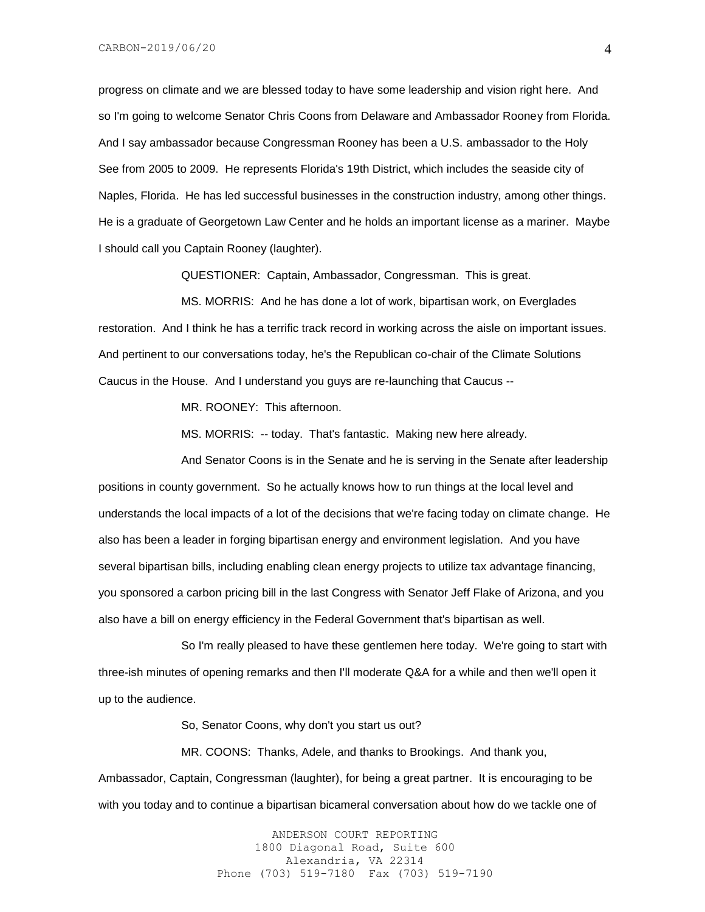progress on climate and we are blessed today to have some leadership and vision right here. And so I'm going to welcome Senator Chris Coons from Delaware and Ambassador Rooney from Florida. And I say ambassador because Congressman Rooney has been a U.S. ambassador to the Holy See from 2005 to 2009. He represents Florida's 19th District, which includes the seaside city of Naples, Florida. He has led successful businesses in the construction industry, among other things. He is a graduate of Georgetown Law Center and he holds an important license as a mariner. Maybe I should call you Captain Rooney (laughter).

QUESTIONER: Captain, Ambassador, Congressman. This is great.

MS. MORRIS: And he has done a lot of work, bipartisan work, on Everglades restoration. And I think he has a terrific track record in working across the aisle on important issues. And pertinent to our conversations today, he's the Republican co-chair of the Climate Solutions Caucus in the House. And I understand you guys are re-launching that Caucus --

MR. ROONEY: This afternoon.

MS. MORRIS: -- today. That's fantastic. Making new here already.

And Senator Coons is in the Senate and he is serving in the Senate after leadership positions in county government. So he actually knows how to run things at the local level and understands the local impacts of a lot of the decisions that we're facing today on climate change. He also has been a leader in forging bipartisan energy and environment legislation. And you have several bipartisan bills, including enabling clean energy projects to utilize tax advantage financing, you sponsored a carbon pricing bill in the last Congress with Senator Jeff Flake of Arizona, and you also have a bill on energy efficiency in the Federal Government that's bipartisan as well.

So I'm really pleased to have these gentlemen here today. We're going to start with three-ish minutes of opening remarks and then I'll moderate Q&A for a while and then we'll open it up to the audience.

So, Senator Coons, why don't you start us out?

MR. COONS: Thanks, Adele, and thanks to Brookings. And thank you,

Ambassador, Captain, Congressman (laughter), for being a great partner. It is encouraging to be with you today and to continue a bipartisan bicameral conversation about how do we tackle one of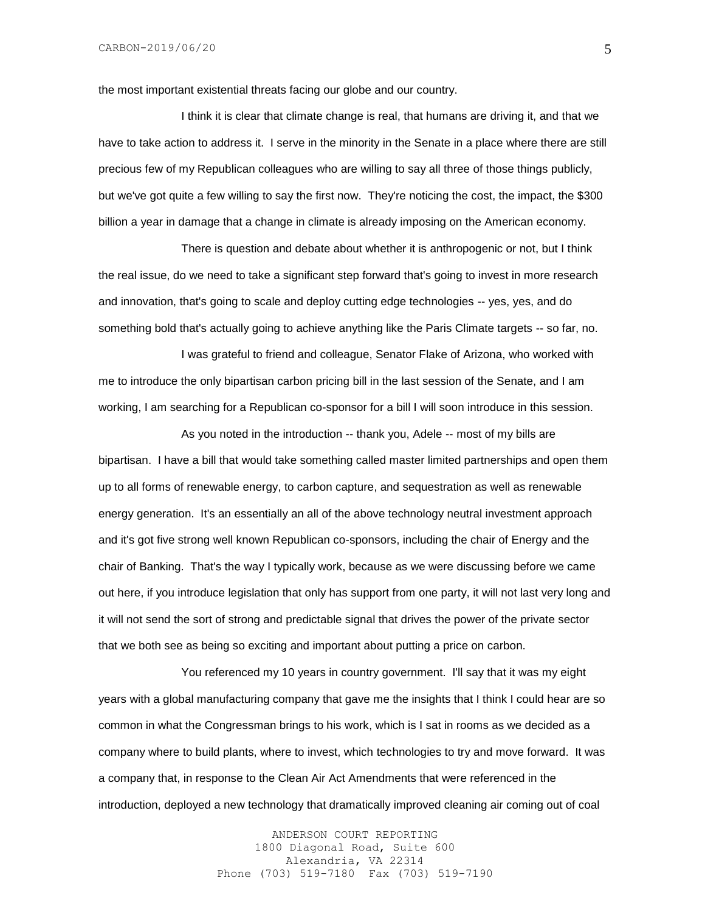the most important existential threats facing our globe and our country.

I think it is clear that climate change is real, that humans are driving it, and that we have to take action to address it. I serve in the minority in the Senate in a place where there are still precious few of my Republican colleagues who are willing to say all three of those things publicly, but we've got quite a few willing to say the first now. They're noticing the cost, the impact, the \$300 billion a year in damage that a change in climate is already imposing on the American economy.

There is question and debate about whether it is anthropogenic or not, but I think the real issue, do we need to take a significant step forward that's going to invest in more research and innovation, that's going to scale and deploy cutting edge technologies -- yes, yes, and do something bold that's actually going to achieve anything like the Paris Climate targets -- so far, no.

I was grateful to friend and colleague, Senator Flake of Arizona, who worked with me to introduce the only bipartisan carbon pricing bill in the last session of the Senate, and I am working, I am searching for a Republican co-sponsor for a bill I will soon introduce in this session.

As you noted in the introduction -- thank you, Adele -- most of my bills are bipartisan. I have a bill that would take something called master limited partnerships and open them up to all forms of renewable energy, to carbon capture, and sequestration as well as renewable energy generation. It's an essentially an all of the above technology neutral investment approach and it's got five strong well known Republican co-sponsors, including the chair of Energy and the chair of Banking. That's the way I typically work, because as we were discussing before we came out here, if you introduce legislation that only has support from one party, it will not last very long and it will not send the sort of strong and predictable signal that drives the power of the private sector that we both see as being so exciting and important about putting a price on carbon.

You referenced my 10 years in country government. I'll say that it was my eight years with a global manufacturing company that gave me the insights that I think I could hear are so common in what the Congressman brings to his work, which is I sat in rooms as we decided as a company where to build plants, where to invest, which technologies to try and move forward. It was a company that, in response to the Clean Air Act Amendments that were referenced in the introduction, deployed a new technology that dramatically improved cleaning air coming out of coal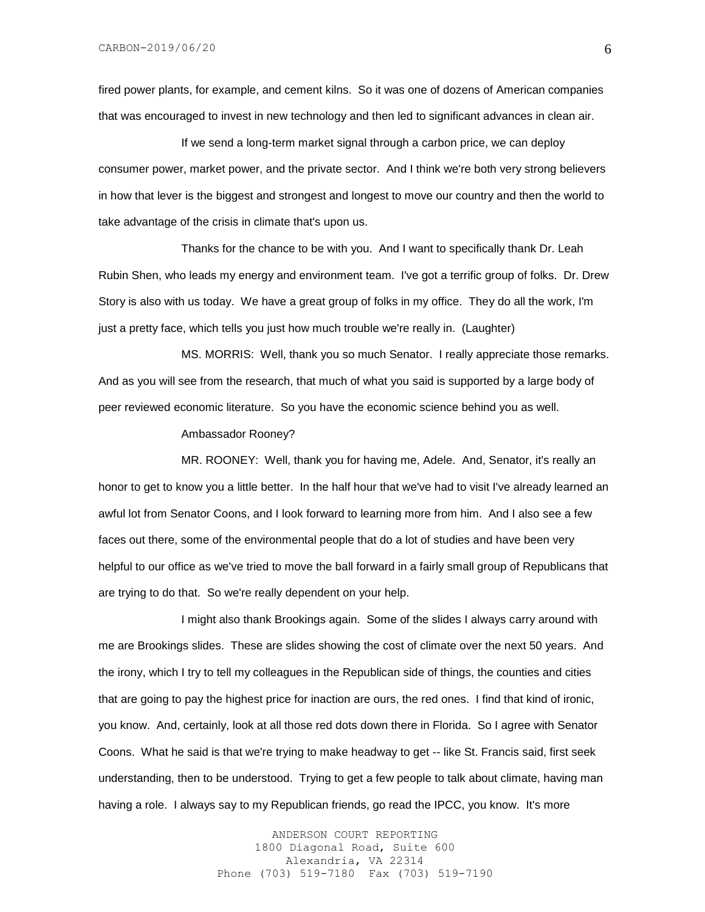fired power plants, for example, and cement kilns. So it was one of dozens of American companies that was encouraged to invest in new technology and then led to significant advances in clean air.

If we send a long-term market signal through a carbon price, we can deploy consumer power, market power, and the private sector. And I think we're both very strong believers in how that lever is the biggest and strongest and longest to move our country and then the world to take advantage of the crisis in climate that's upon us.

Thanks for the chance to be with you. And I want to specifically thank Dr. Leah Rubin Shen, who leads my energy and environment team. I've got a terrific group of folks. Dr. Drew Story is also with us today. We have a great group of folks in my office. They do all the work, I'm just a pretty face, which tells you just how much trouble we're really in. (Laughter)

MS. MORRIS: Well, thank you so much Senator. I really appreciate those remarks. And as you will see from the research, that much of what you said is supported by a large body of peer reviewed economic literature. So you have the economic science behind you as well.

Ambassador Rooney?

MR. ROONEY: Well, thank you for having me, Adele. And, Senator, it's really an honor to get to know you a little better. In the half hour that we've had to visit I've already learned an awful lot from Senator Coons, and I look forward to learning more from him. And I also see a few faces out there, some of the environmental people that do a lot of studies and have been very helpful to our office as we've tried to move the ball forward in a fairly small group of Republicans that are trying to do that. So we're really dependent on your help.

I might also thank Brookings again. Some of the slides I always carry around with me are Brookings slides. These are slides showing the cost of climate over the next 50 years. And the irony, which I try to tell my colleagues in the Republican side of things, the counties and cities that are going to pay the highest price for inaction are ours, the red ones. I find that kind of ironic, you know. And, certainly, look at all those red dots down there in Florida. So I agree with Senator Coons. What he said is that we're trying to make headway to get -- like St. Francis said, first seek understanding, then to be understood. Trying to get a few people to talk about climate, having man having a role. I always say to my Republican friends, go read the IPCC, you know. It's more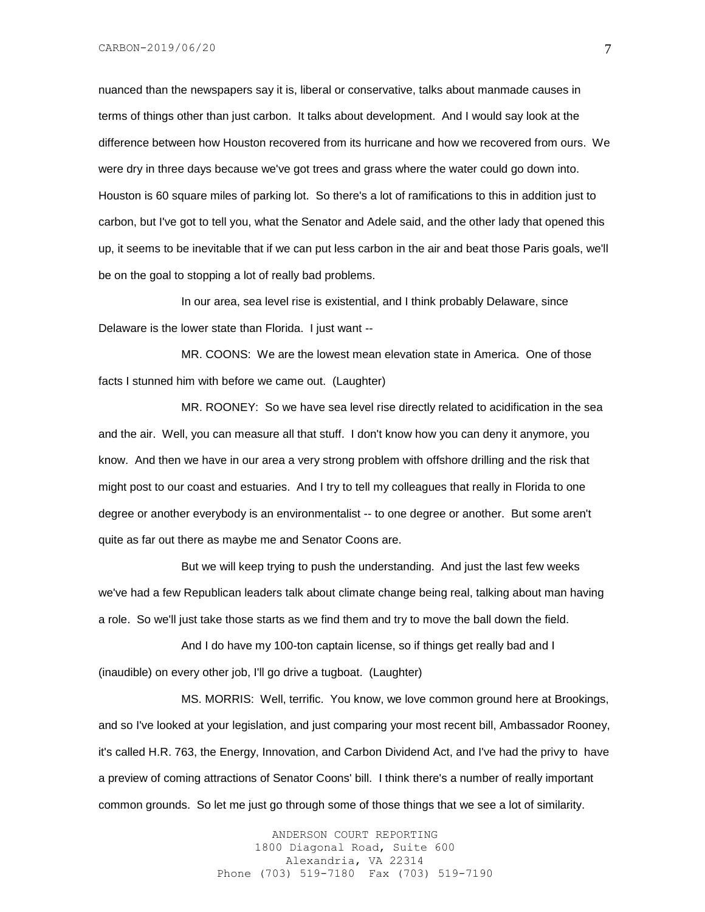nuanced than the newspapers say it is, liberal or conservative, talks about manmade causes in terms of things other than just carbon. It talks about development. And I would say look at the difference between how Houston recovered from its hurricane and how we recovered from ours. We were dry in three days because we've got trees and grass where the water could go down into. Houston is 60 square miles of parking lot. So there's a lot of ramifications to this in addition just to carbon, but I've got to tell you, what the Senator and Adele said, and the other lady that opened this up, it seems to be inevitable that if we can put less carbon in the air and beat those Paris goals, we'll be on the goal to stopping a lot of really bad problems.

In our area, sea level rise is existential, and I think probably Delaware, since Delaware is the lower state than Florida. I just want --

MR. COONS: We are the lowest mean elevation state in America. One of those facts I stunned him with before we came out. (Laughter)

MR. ROONEY: So we have sea level rise directly related to acidification in the sea and the air. Well, you can measure all that stuff. I don't know how you can deny it anymore, you know. And then we have in our area a very strong problem with offshore drilling and the risk that might post to our coast and estuaries. And I try to tell my colleagues that really in Florida to one degree or another everybody is an environmentalist -- to one degree or another. But some aren't quite as far out there as maybe me and Senator Coons are.

But we will keep trying to push the understanding. And just the last few weeks we've had a few Republican leaders talk about climate change being real, talking about man having a role. So we'll just take those starts as we find them and try to move the ball down the field.

And I do have my 100-ton captain license, so if things get really bad and I (inaudible) on every other job, I'll go drive a tugboat. (Laughter)

MS. MORRIS: Well, terrific. You know, we love common ground here at Brookings, and so I've looked at your legislation, and just comparing your most recent bill, Ambassador Rooney, it's called H.R. 763, the Energy, Innovation, and Carbon Dividend Act, and I've had the privy to have a preview of coming attractions of Senator Coons' bill. I think there's a number of really important common grounds. So let me just go through some of those things that we see a lot of similarity.

> ANDERSON COURT REPORTING 1800 Diagonal Road, Suite 600 Alexandria, VA 22314 Phone (703) 519-7180 Fax (703) 519-7190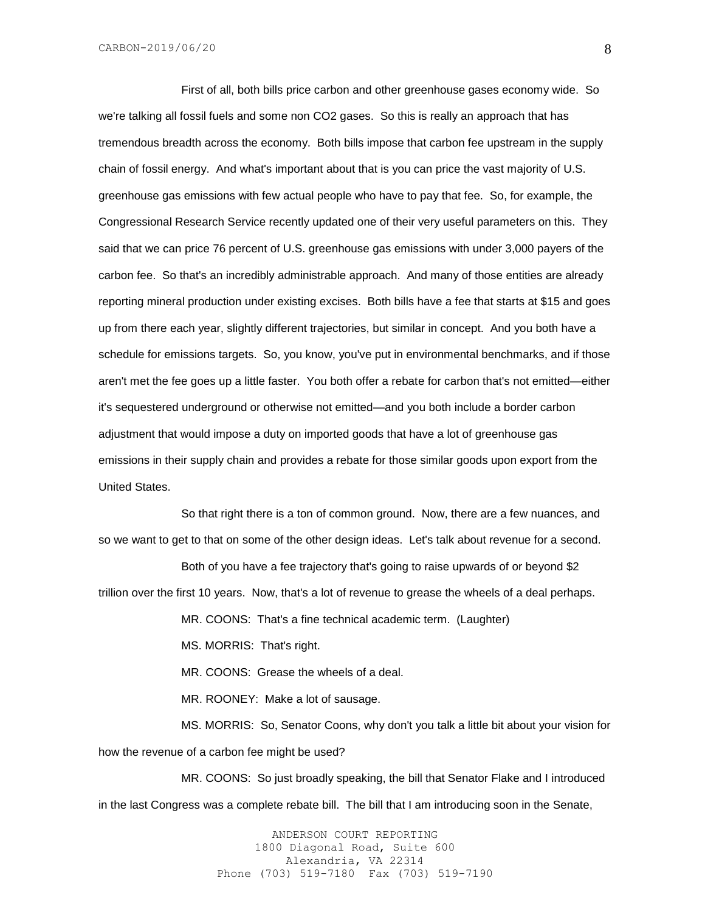First of all, both bills price carbon and other greenhouse gases economy wide. So we're talking all fossil fuels and some non CO2 gases. So this is really an approach that has tremendous breadth across the economy. Both bills impose that carbon fee upstream in the supply chain of fossil energy. And what's important about that is you can price the vast majority of U.S. greenhouse gas emissions with few actual people who have to pay that fee. So, for example, the Congressional Research Service recently updated one of their very useful parameters on this. They said that we can price 76 percent of U.S. greenhouse gas emissions with under 3,000 payers of the carbon fee. So that's an incredibly administrable approach. And many of those entities are already reporting mineral production under existing excises. Both bills have a fee that starts at \$15 and goes up from there each year, slightly different trajectories, but similar in concept. And you both have a schedule for emissions targets. So, you know, you've put in environmental benchmarks, and if those aren't met the fee goes up a little faster. You both offer a rebate for carbon that's not emitted—either it's sequestered underground or otherwise not emitted—and you both include a border carbon adjustment that would impose a duty on imported goods that have a lot of greenhouse gas emissions in their supply chain and provides a rebate for those similar goods upon export from the United States.

So that right there is a ton of common ground. Now, there are a few nuances, and so we want to get to that on some of the other design ideas. Let's talk about revenue for a second.

Both of you have a fee trajectory that's going to raise upwards of or beyond \$2 trillion over the first 10 years. Now, that's a lot of revenue to grease the wheels of a deal perhaps.

MR. COONS: That's a fine technical academic term. (Laughter)

MS. MORRIS: That's right.

MR. COONS: Grease the wheels of a deal.

MR. ROONEY: Make a lot of sausage.

MS. MORRIS: So, Senator Coons, why don't you talk a little bit about your vision for how the revenue of a carbon fee might be used?

MR. COONS: So just broadly speaking, the bill that Senator Flake and I introduced in the last Congress was a complete rebate bill. The bill that I am introducing soon in the Senate,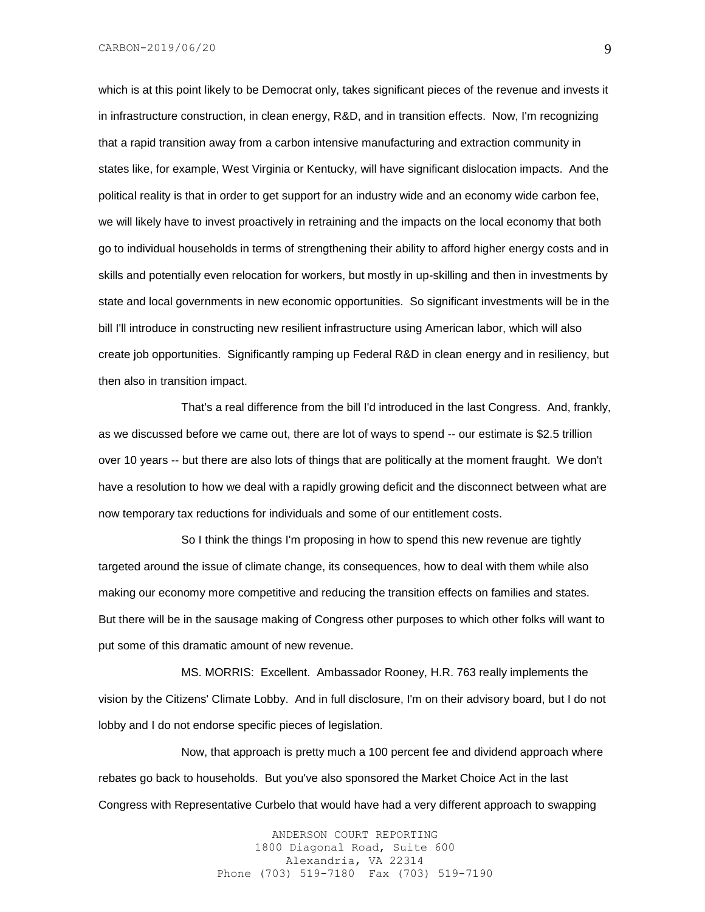which is at this point likely to be Democrat only, takes significant pieces of the revenue and invests it in infrastructure construction, in clean energy, R&D, and in transition effects. Now, I'm recognizing that a rapid transition away from a carbon intensive manufacturing and extraction community in states like, for example, West Virginia or Kentucky, will have significant dislocation impacts. And the political reality is that in order to get support for an industry wide and an economy wide carbon fee, we will likely have to invest proactively in retraining and the impacts on the local economy that both go to individual households in terms of strengthening their ability to afford higher energy costs and in skills and potentially even relocation for workers, but mostly in up-skilling and then in investments by state and local governments in new economic opportunities. So significant investments will be in the bill I'll introduce in constructing new resilient infrastructure using American labor, which will also create job opportunities. Significantly ramping up Federal R&D in clean energy and in resiliency, but then also in transition impact.

That's a real difference from the bill I'd introduced in the last Congress. And, frankly, as we discussed before we came out, there are lot of ways to spend -- our estimate is \$2.5 trillion over 10 years -- but there are also lots of things that are politically at the moment fraught. We don't have a resolution to how we deal with a rapidly growing deficit and the disconnect between what are now temporary tax reductions for individuals and some of our entitlement costs.

So I think the things I'm proposing in how to spend this new revenue are tightly targeted around the issue of climate change, its consequences, how to deal with them while also making our economy more competitive and reducing the transition effects on families and states. But there will be in the sausage making of Congress other purposes to which other folks will want to put some of this dramatic amount of new revenue.

MS. MORRIS: Excellent. Ambassador Rooney, H.R. 763 really implements the vision by the Citizens' Climate Lobby. And in full disclosure, I'm on their advisory board, but I do not lobby and I do not endorse specific pieces of legislation.

Now, that approach is pretty much a 100 percent fee and dividend approach where rebates go back to households. But you've also sponsored the Market Choice Act in the last Congress with Representative Curbelo that would have had a very different approach to swapping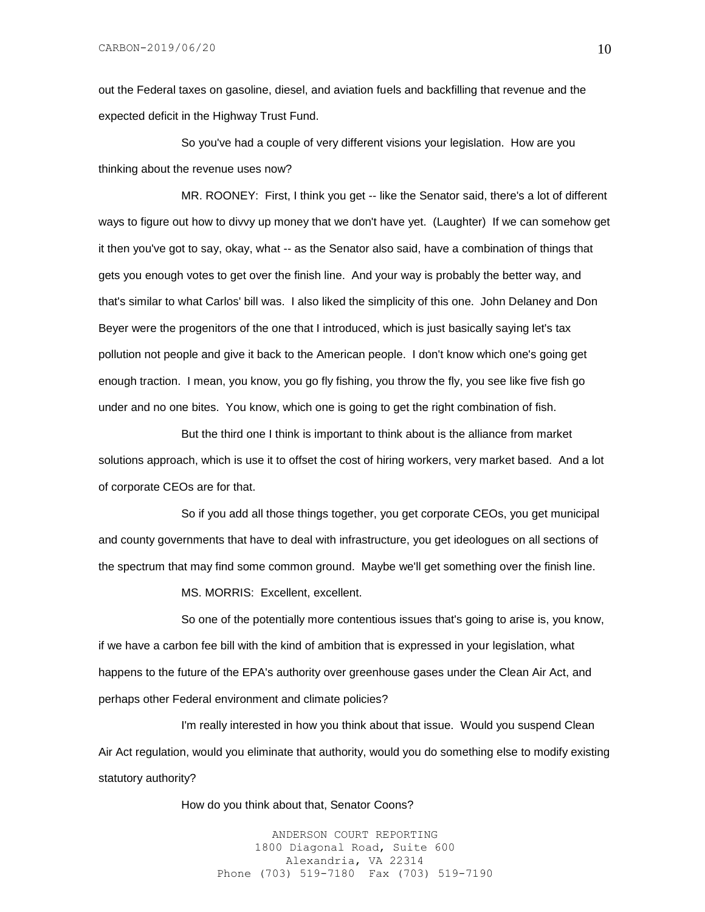out the Federal taxes on gasoline, diesel, and aviation fuels and backfilling that revenue and the expected deficit in the Highway Trust Fund.

So you've had a couple of very different visions your legislation. How are you thinking about the revenue uses now?

MR. ROONEY: First, I think you get -- like the Senator said, there's a lot of different ways to figure out how to divvy up money that we don't have yet. (Laughter) If we can somehow get it then you've got to say, okay, what -- as the Senator also said, have a combination of things that gets you enough votes to get over the finish line. And your way is probably the better way, and that's similar to what Carlos' bill was. I also liked the simplicity of this one. John Delaney and Don Beyer were the progenitors of the one that I introduced, which is just basically saying let's tax pollution not people and give it back to the American people. I don't know which one's going get enough traction. I mean, you know, you go fly fishing, you throw the fly, you see like five fish go under and no one bites. You know, which one is going to get the right combination of fish.

But the third one I think is important to think about is the alliance from market solutions approach, which is use it to offset the cost of hiring workers, very market based. And a lot of corporate CEOs are for that.

So if you add all those things together, you get corporate CEOs, you get municipal and county governments that have to deal with infrastructure, you get ideologues on all sections of the spectrum that may find some common ground. Maybe we'll get something over the finish line.

MS. MORRIS: Excellent, excellent.

So one of the potentially more contentious issues that's going to arise is, you know, if we have a carbon fee bill with the kind of ambition that is expressed in your legislation, what happens to the future of the EPA's authority over greenhouse gases under the Clean Air Act, and perhaps other Federal environment and climate policies?

I'm really interested in how you think about that issue. Would you suspend Clean Air Act regulation, would you eliminate that authority, would you do something else to modify existing statutory authority?

How do you think about that, Senator Coons?

ANDERSON COURT REPORTING 1800 Diagonal Road, Suite 600 Alexandria, VA 22314 Phone (703) 519-7180 Fax (703) 519-7190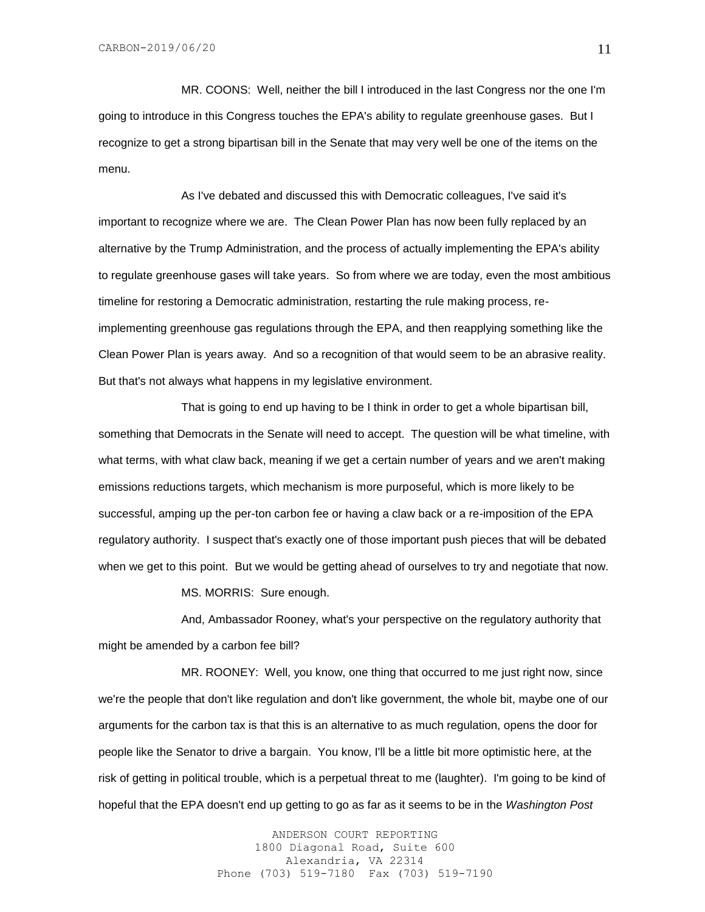MR. COONS: Well, neither the bill I introduced in the last Congress nor the one I'm going to introduce in this Congress touches the EPA's ability to regulate greenhouse gases. But I recognize to get a strong bipartisan bill in the Senate that may very well be one of the items on the menu.

As I've debated and discussed this with Democratic colleagues, I've said it's important to recognize where we are. The Clean Power Plan has now been fully replaced by an alternative by the Trump Administration, and the process of actually implementing the EPA's ability to regulate greenhouse gases will take years. So from where we are today, even the most ambitious timeline for restoring a Democratic administration, restarting the rule making process, reimplementing greenhouse gas regulations through the EPA, and then reapplying something like the Clean Power Plan is years away. And so a recognition of that would seem to be an abrasive reality. But that's not always what happens in my legislative environment.

That is going to end up having to be I think in order to get a whole bipartisan bill, something that Democrats in the Senate will need to accept. The question will be what timeline, with what terms, with what claw back, meaning if we get a certain number of years and we aren't making emissions reductions targets, which mechanism is more purposeful, which is more likely to be successful, amping up the per-ton carbon fee or having a claw back or a re-imposition of the EPA regulatory authority. I suspect that's exactly one of those important push pieces that will be debated when we get to this point. But we would be getting ahead of ourselves to try and negotiate that now.

MS. MORRIS: Sure enough.

And, Ambassador Rooney, what's your perspective on the regulatory authority that might be amended by a carbon fee bill?

MR. ROONEY: Well, you know, one thing that occurred to me just right now, since we're the people that don't like regulation and don't like government, the whole bit, maybe one of our arguments for the carbon tax is that this is an alternative to as much regulation, opens the door for people like the Senator to drive a bargain. You know, I'll be a little bit more optimistic here, at the risk of getting in political trouble, which is a perpetual threat to me (laughter). I'm going to be kind of hopeful that the EPA doesn't end up getting to go as far as it seems to be in the *Washington Post*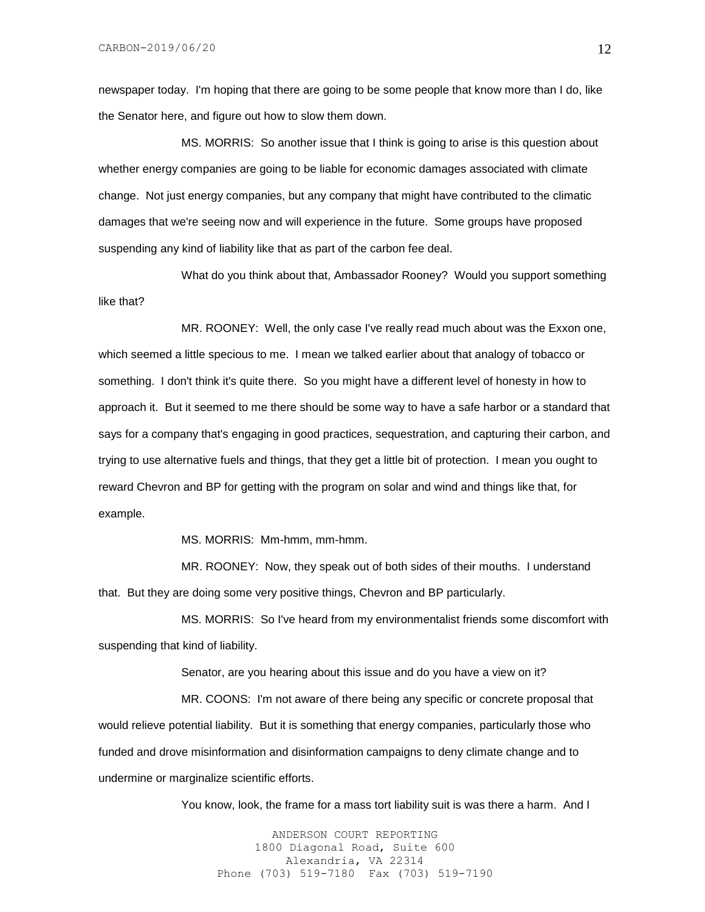newspaper today. I'm hoping that there are going to be some people that know more than I do, like the Senator here, and figure out how to slow them down.

MS. MORRIS: So another issue that I think is going to arise is this question about whether energy companies are going to be liable for economic damages associated with climate change. Not just energy companies, but any company that might have contributed to the climatic damages that we're seeing now and will experience in the future. Some groups have proposed suspending any kind of liability like that as part of the carbon fee deal.

What do you think about that, Ambassador Rooney? Would you support something like that?

MR. ROONEY: Well, the only case I've really read much about was the Exxon one, which seemed a little specious to me. I mean we talked earlier about that analogy of tobacco or something. I don't think it's quite there. So you might have a different level of honesty in how to approach it. But it seemed to me there should be some way to have a safe harbor or a standard that says for a company that's engaging in good practices, sequestration, and capturing their carbon, and trying to use alternative fuels and things, that they get a little bit of protection. I mean you ought to reward Chevron and BP for getting with the program on solar and wind and things like that, for example.

MS. MORRIS: Mm-hmm, mm-hmm.

MR. ROONEY: Now, they speak out of both sides of their mouths. I understand that. But they are doing some very positive things, Chevron and BP particularly.

MS. MORRIS: So I've heard from my environmentalist friends some discomfort with suspending that kind of liability.

Senator, are you hearing about this issue and do you have a view on it?

MR. COONS: I'm not aware of there being any specific or concrete proposal that would relieve potential liability. But it is something that energy companies, particularly those who funded and drove misinformation and disinformation campaigns to deny climate change and to undermine or marginalize scientific efforts.

You know, look, the frame for a mass tort liability suit is was there a harm. And I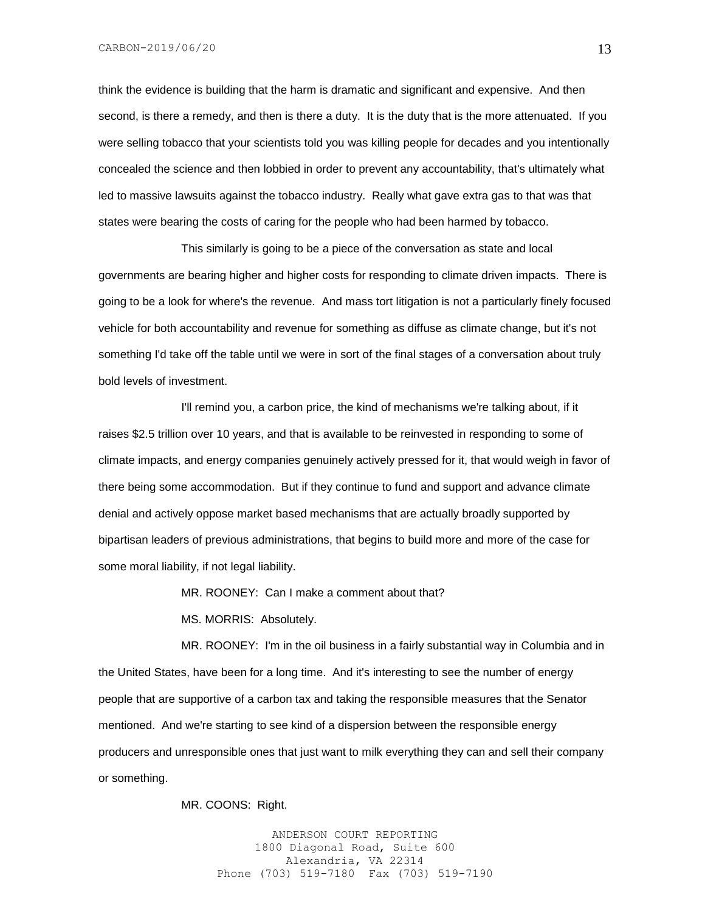think the evidence is building that the harm is dramatic and significant and expensive. And then second, is there a remedy, and then is there a duty. It is the duty that is the more attenuated. If you were selling tobacco that your scientists told you was killing people for decades and you intentionally concealed the science and then lobbied in order to prevent any accountability, that's ultimately what led to massive lawsuits against the tobacco industry. Really what gave extra gas to that was that states were bearing the costs of caring for the people who had been harmed by tobacco.

This similarly is going to be a piece of the conversation as state and local governments are bearing higher and higher costs for responding to climate driven impacts. There is going to be a look for where's the revenue. And mass tort litigation is not a particularly finely focused vehicle for both accountability and revenue for something as diffuse as climate change, but it's not something I'd take off the table until we were in sort of the final stages of a conversation about truly bold levels of investment.

I'll remind you, a carbon price, the kind of mechanisms we're talking about, if it raises \$2.5 trillion over 10 years, and that is available to be reinvested in responding to some of climate impacts, and energy companies genuinely actively pressed for it, that would weigh in favor of there being some accommodation. But if they continue to fund and support and advance climate denial and actively oppose market based mechanisms that are actually broadly supported by bipartisan leaders of previous administrations, that begins to build more and more of the case for some moral liability, if not legal liability.

MR. ROONEY: Can I make a comment about that?

MS. MORRIS: Absolutely.

MR. ROONEY: I'm in the oil business in a fairly substantial way in Columbia and in the United States, have been for a long time. And it's interesting to see the number of energy people that are supportive of a carbon tax and taking the responsible measures that the Senator mentioned. And we're starting to see kind of a dispersion between the responsible energy producers and unresponsible ones that just want to milk everything they can and sell their company or something.

MR. COONS: Right.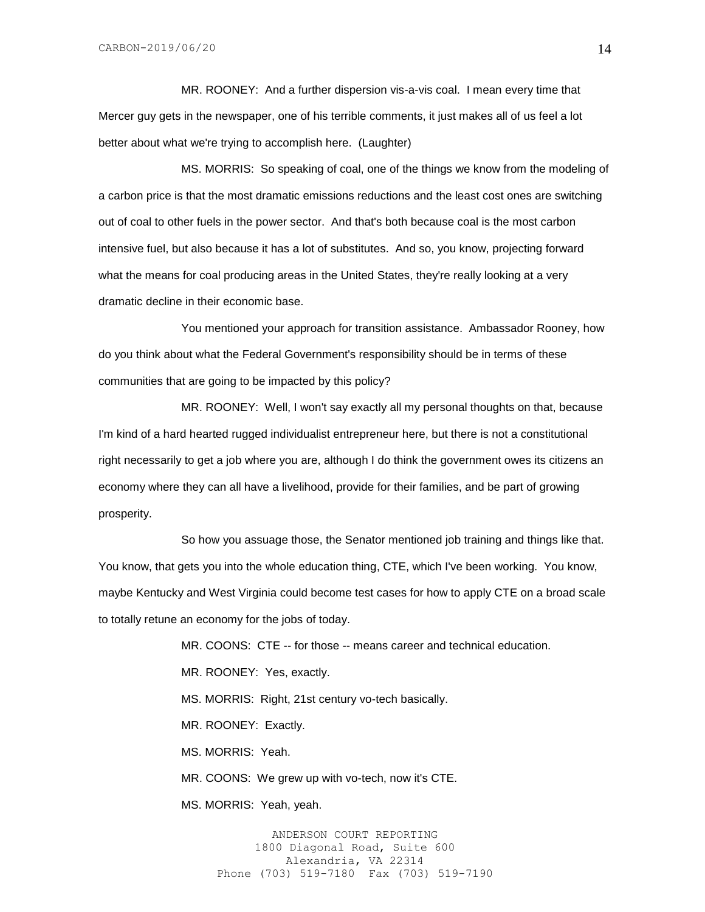MR. ROONEY: And a further dispersion vis-a-vis coal. I mean every time that Mercer guy gets in the newspaper, one of his terrible comments, it just makes all of us feel a lot better about what we're trying to accomplish here. (Laughter)

MS. MORRIS: So speaking of coal, one of the things we know from the modeling of a carbon price is that the most dramatic emissions reductions and the least cost ones are switching out of coal to other fuels in the power sector. And that's both because coal is the most carbon intensive fuel, but also because it has a lot of substitutes. And so, you know, projecting forward what the means for coal producing areas in the United States, they're really looking at a very dramatic decline in their economic base.

You mentioned your approach for transition assistance. Ambassador Rooney, how do you think about what the Federal Government's responsibility should be in terms of these communities that are going to be impacted by this policy?

MR. ROONEY: Well, I won't say exactly all my personal thoughts on that, because I'm kind of a hard hearted rugged individualist entrepreneur here, but there is not a constitutional right necessarily to get a job where you are, although I do think the government owes its citizens an economy where they can all have a livelihood, provide for their families, and be part of growing prosperity.

So how you assuage those, the Senator mentioned job training and things like that. You know, that gets you into the whole education thing, CTE, which I've been working. You know, maybe Kentucky and West Virginia could become test cases for how to apply CTE on a broad scale to totally retune an economy for the jobs of today.

> MR. COONS: CTE -- for those -- means career and technical education. MR. ROONEY: Yes, exactly. MS. MORRIS: Right, 21st century vo-tech basically. MR. ROONEY: Exactly. MS. MORRIS: Yeah. MR. COONS: We grew up with vo-tech, now it's CTE. MS. MORRIS: Yeah, yeah.

ANDERSON COURT REPORTING 1800 Diagonal Road, Suite 600 Alexandria, VA 22314 Phone (703) 519-7180 Fax (703) 519-7190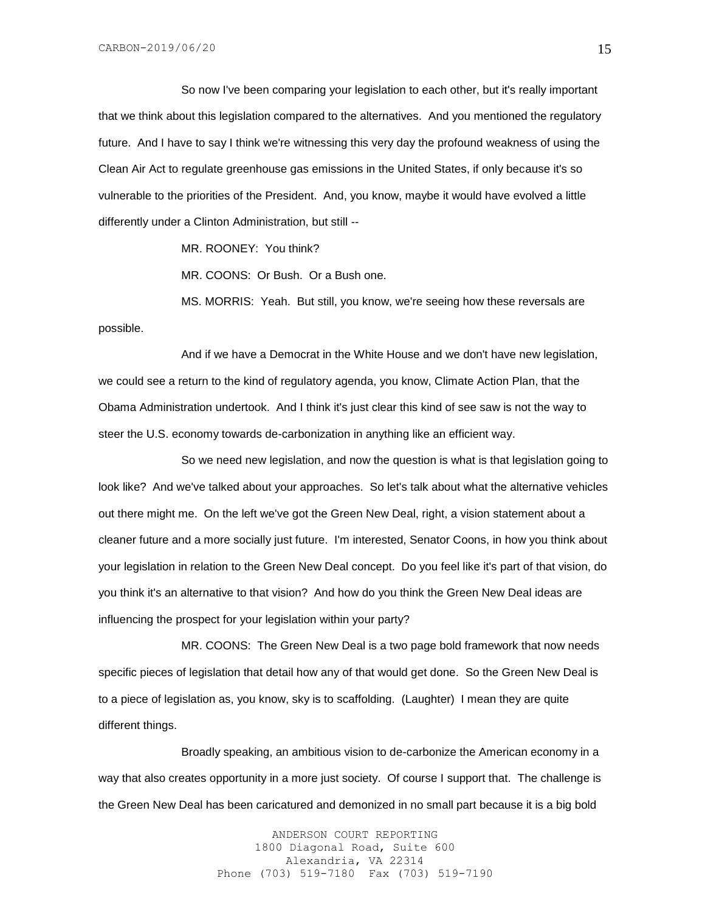So now I've been comparing your legislation to each other, but it's really important that we think about this legislation compared to the alternatives. And you mentioned the regulatory future. And I have to say I think we're witnessing this very day the profound weakness of using the Clean Air Act to regulate greenhouse gas emissions in the United States, if only because it's so vulnerable to the priorities of the President. And, you know, maybe it would have evolved a little differently under a Clinton Administration, but still --

MR. ROONEY: You think?

MR. COONS: Or Bush. Or a Bush one.

MS. MORRIS: Yeah. But still, you know, we're seeing how these reversals are possible.

And if we have a Democrat in the White House and we don't have new legislation, we could see a return to the kind of regulatory agenda, you know, Climate Action Plan, that the Obama Administration undertook. And I think it's just clear this kind of see saw is not the way to steer the U.S. economy towards de-carbonization in anything like an efficient way.

So we need new legislation, and now the question is what is that legislation going to look like? And we've talked about your approaches. So let's talk about what the alternative vehicles out there might me. On the left we've got the Green New Deal, right, a vision statement about a cleaner future and a more socially just future. I'm interested, Senator Coons, in how you think about your legislation in relation to the Green New Deal concept. Do you feel like it's part of that vision, do you think it's an alternative to that vision? And how do you think the Green New Deal ideas are influencing the prospect for your legislation within your party?

MR. COONS: The Green New Deal is a two page bold framework that now needs specific pieces of legislation that detail how any of that would get done. So the Green New Deal is to a piece of legislation as, you know, sky is to scaffolding. (Laughter) I mean they are quite different things.

Broadly speaking, an ambitious vision to de-carbonize the American economy in a way that also creates opportunity in a more just society. Of course I support that. The challenge is the Green New Deal has been caricatured and demonized in no small part because it is a big bold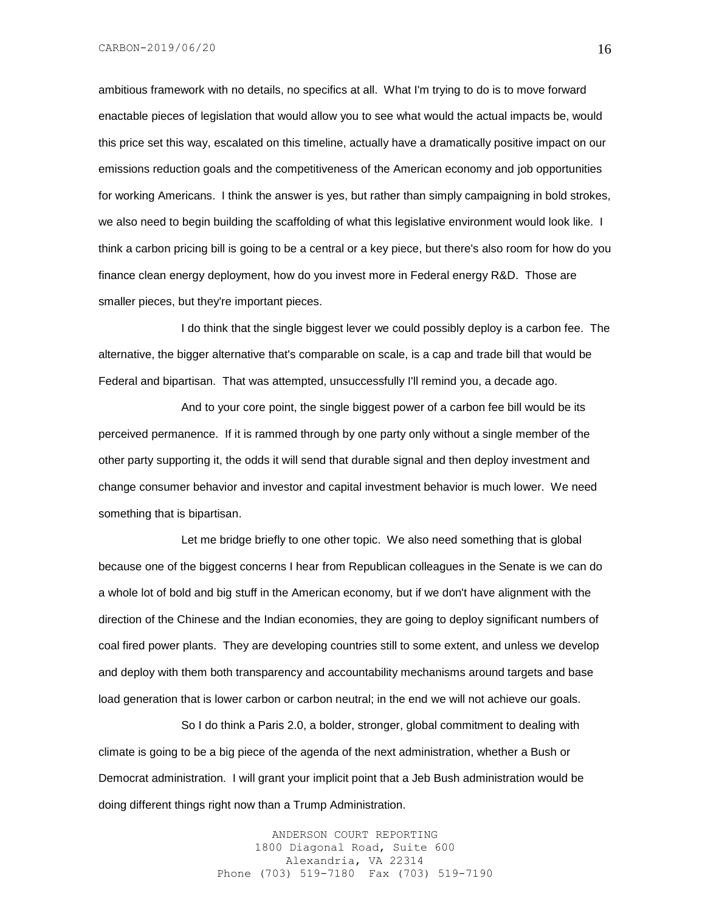CARBON-2019/06/20

ambitious framework with no details, no specifics at all. What I'm trying to do is to move forward enactable pieces of legislation that would allow you to see what would the actual impacts be, would this price set this way, escalated on this timeline, actually have a dramatically positive impact on our emissions reduction goals and the competitiveness of the American economy and job opportunities for working Americans. I think the answer is yes, but rather than simply campaigning in bold strokes, we also need to begin building the scaffolding of what this legislative environment would look like. I think a carbon pricing bill is going to be a central or a key piece, but there's also room for how do you finance clean energy deployment, how do you invest more in Federal energy R&D. Those are smaller pieces, but they're important pieces.

I do think that the single biggest lever we could possibly deploy is a carbon fee. The alternative, the bigger alternative that's comparable on scale, is a cap and trade bill that would be Federal and bipartisan. That was attempted, unsuccessfully I'll remind you, a decade ago.

And to your core point, the single biggest power of a carbon fee bill would be its perceived permanence. If it is rammed through by one party only without a single member of the other party supporting it, the odds it will send that durable signal and then deploy investment and change consumer behavior and investor and capital investment behavior is much lower. We need something that is bipartisan.

Let me bridge briefly to one other topic. We also need something that is global because one of the biggest concerns I hear from Republican colleagues in the Senate is we can do a whole lot of bold and big stuff in the American economy, but if we don't have alignment with the direction of the Chinese and the Indian economies, they are going to deploy significant numbers of coal fired power plants. They are developing countries still to some extent, and unless we develop and deploy with them both transparency and accountability mechanisms around targets and base load generation that is lower carbon or carbon neutral; in the end we will not achieve our goals.

So I do think a Paris 2.0, a bolder, stronger, global commitment to dealing with climate is going to be a big piece of the agenda of the next administration, whether a Bush or Democrat administration. I will grant your implicit point that a Jeb Bush administration would be doing different things right now than a Trump Administration.

> ANDERSON COURT REPORTING 1800 Diagonal Road, Suite 600 Alexandria, VA 22314 Phone (703) 519-7180 Fax (703) 519-7190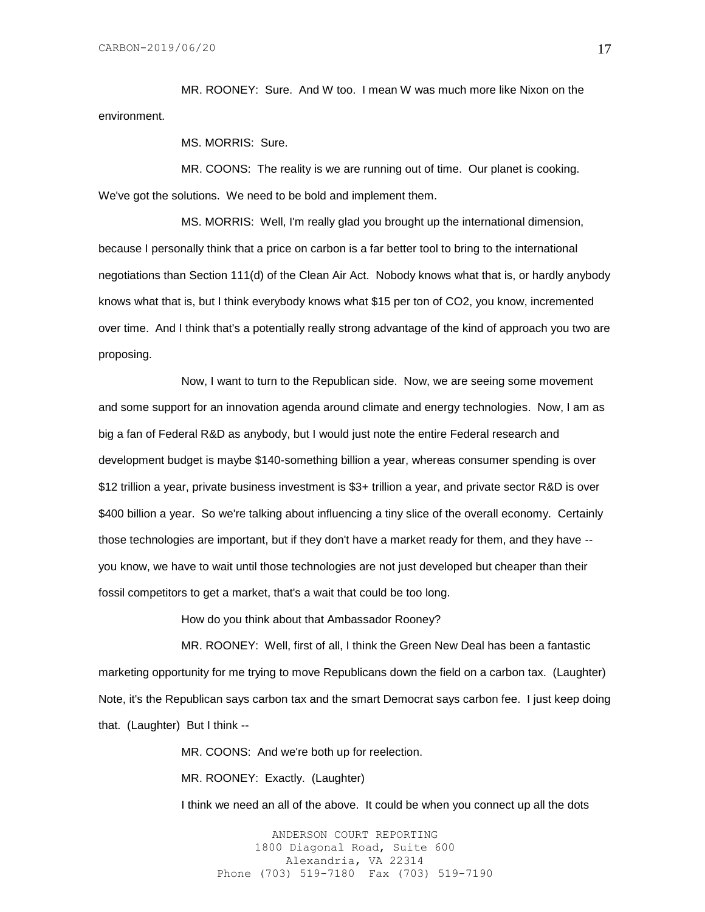MR. ROONEY: Sure. And W too. I mean W was much more like Nixon on the environment.

MS. MORRIS: Sure.

MR. COONS: The reality is we are running out of time. Our planet is cooking. We've got the solutions. We need to be bold and implement them.

MS. MORRIS: Well, I'm really glad you brought up the international dimension, because I personally think that a price on carbon is a far better tool to bring to the international negotiations than Section 111(d) of the Clean Air Act. Nobody knows what that is, or hardly anybody knows what that is, but I think everybody knows what \$15 per ton of CO2, you know, incremented over time. And I think that's a potentially really strong advantage of the kind of approach you two are proposing.

Now, I want to turn to the Republican side. Now, we are seeing some movement and some support for an innovation agenda around climate and energy technologies. Now, I am as big a fan of Federal R&D as anybody, but I would just note the entire Federal research and development budget is maybe \$140-something billion a year, whereas consumer spending is over \$12 trillion a year, private business investment is \$3+ trillion a year, and private sector R&D is over \$400 billion a year. So we're talking about influencing a tiny slice of the overall economy. Certainly those technologies are important, but if they don't have a market ready for them, and they have - you know, we have to wait until those technologies are not just developed but cheaper than their fossil competitors to get a market, that's a wait that could be too long.

How do you think about that Ambassador Rooney?

MR. ROONEY: Well, first of all, I think the Green New Deal has been a fantastic marketing opportunity for me trying to move Republicans down the field on a carbon tax. (Laughter) Note, it's the Republican says carbon tax and the smart Democrat says carbon fee. I just keep doing that. (Laughter) But I think --

MR. COONS: And we're both up for reelection.

MR. ROONEY: Exactly. (Laughter)

I think we need an all of the above. It could be when you connect up all the dots

ANDERSON COURT REPORTING 1800 Diagonal Road, Suite 600 Alexandria, VA 22314 Phone (703) 519-7180 Fax (703) 519-7190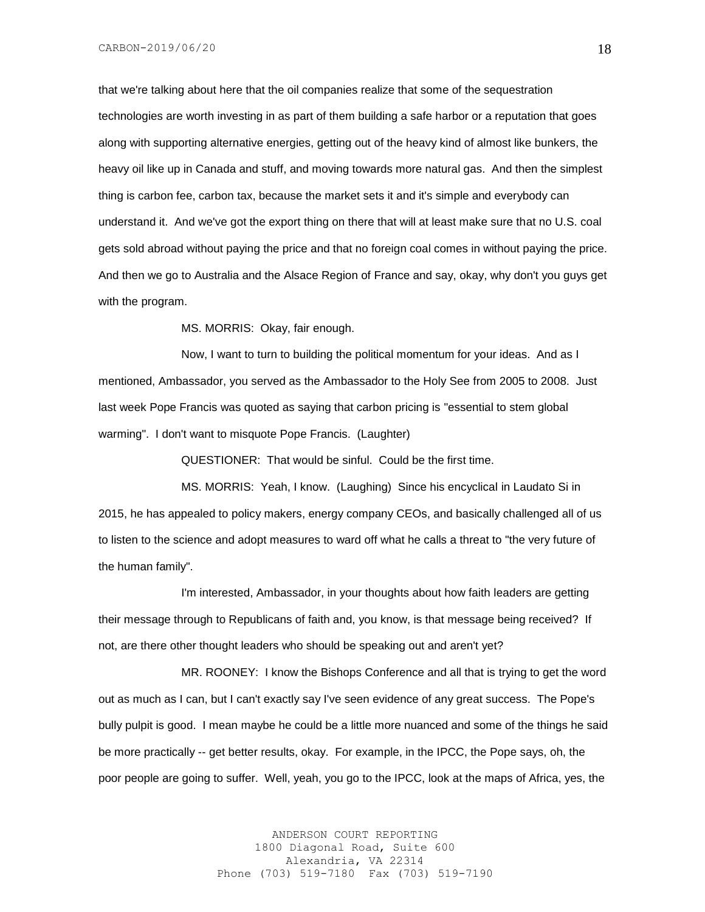that we're talking about here that the oil companies realize that some of the sequestration technologies are worth investing in as part of them building a safe harbor or a reputation that goes along with supporting alternative energies, getting out of the heavy kind of almost like bunkers, the heavy oil like up in Canada and stuff, and moving towards more natural gas. And then the simplest thing is carbon fee, carbon tax, because the market sets it and it's simple and everybody can understand it. And we've got the export thing on there that will at least make sure that no U.S. coal gets sold abroad without paying the price and that no foreign coal comes in without paying the price. And then we go to Australia and the Alsace Region of France and say, okay, why don't you guys get with the program.

MS. MORRIS: Okay, fair enough.

Now, I want to turn to building the political momentum for your ideas. And as I mentioned, Ambassador, you served as the Ambassador to the Holy See from 2005 to 2008. Just last week Pope Francis was quoted as saying that carbon pricing is "essential to stem global warming". I don't want to misquote Pope Francis. (Laughter)

QUESTIONER: That would be sinful. Could be the first time.

MS. MORRIS: Yeah, I know. (Laughing) Since his encyclical in Laudato Si in 2015, he has appealed to policy makers, energy company CEOs, and basically challenged all of us to listen to the science and adopt measures to ward off what he calls a threat to "the very future of the human family".

I'm interested, Ambassador, in your thoughts about how faith leaders are getting their message through to Republicans of faith and, you know, is that message being received? If not, are there other thought leaders who should be speaking out and aren't yet?

MR. ROONEY: I know the Bishops Conference and all that is trying to get the word out as much as I can, but I can't exactly say I've seen evidence of any great success. The Pope's bully pulpit is good. I mean maybe he could be a little more nuanced and some of the things he said be more practically -- get better results, okay. For example, in the IPCC, the Pope says, oh, the poor people are going to suffer. Well, yeah, you go to the IPCC, look at the maps of Africa, yes, the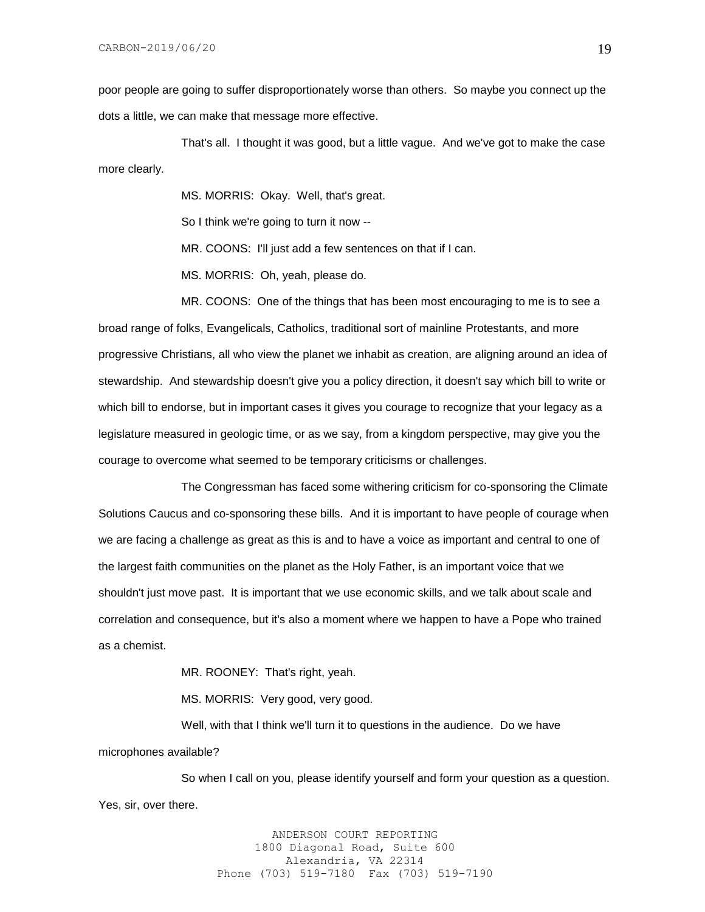poor people are going to suffer disproportionately worse than others. So maybe you connect up the dots a little, we can make that message more effective.

That's all. I thought it was good, but a little vague. And we've got to make the case more clearly.

MS. MORRIS: Okay. Well, that's great.

So I think we're going to turn it now --

MR. COONS: I'll just add a few sentences on that if I can.

MS. MORRIS: Oh, yeah, please do.

MR. COONS: One of the things that has been most encouraging to me is to see a broad range of folks, Evangelicals, Catholics, traditional sort of mainline Protestants, and more progressive Christians, all who view the planet we inhabit as creation, are aligning around an idea of stewardship. And stewardship doesn't give you a policy direction, it doesn't say which bill to write or which bill to endorse, but in important cases it gives you courage to recognize that your legacy as a legislature measured in geologic time, or as we say, from a kingdom perspective, may give you the courage to overcome what seemed to be temporary criticisms or challenges.

The Congressman has faced some withering criticism for co-sponsoring the Climate Solutions Caucus and co-sponsoring these bills. And it is important to have people of courage when we are facing a challenge as great as this is and to have a voice as important and central to one of the largest faith communities on the planet as the Holy Father, is an important voice that we shouldn't just move past. It is important that we use economic skills, and we talk about scale and correlation and consequence, but it's also a moment where we happen to have a Pope who trained as a chemist.

MR. ROONEY: That's right, yeah.

MS. MORRIS: Very good, very good.

Well, with that I think we'll turn it to questions in the audience. Do we have microphones available?

So when I call on you, please identify yourself and form your question as a question. Yes, sir, over there.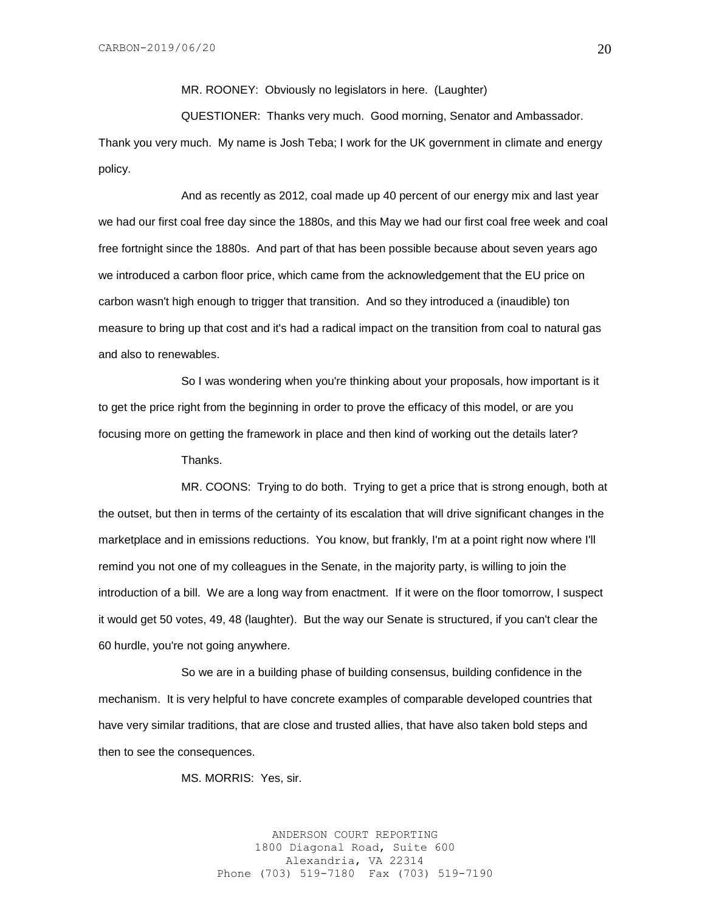MR. ROONEY: Obviously no legislators in here. (Laughter)

QUESTIONER: Thanks very much. Good morning, Senator and Ambassador. Thank you very much. My name is Josh Teba; I work for the UK government in climate and energy policy.

And as recently as 2012, coal made up 40 percent of our energy mix and last year we had our first coal free day since the 1880s, and this May we had our first coal free week and coal free fortnight since the 1880s. And part of that has been possible because about seven years ago we introduced a carbon floor price, which came from the acknowledgement that the EU price on carbon wasn't high enough to trigger that transition. And so they introduced a (inaudible) ton measure to bring up that cost and it's had a radical impact on the transition from coal to natural gas and also to renewables.

So I was wondering when you're thinking about your proposals, how important is it to get the price right from the beginning in order to prove the efficacy of this model, or are you focusing more on getting the framework in place and then kind of working out the details later?

Thanks.

MR. COONS: Trying to do both. Trying to get a price that is strong enough, both at the outset, but then in terms of the certainty of its escalation that will drive significant changes in the marketplace and in emissions reductions. You know, but frankly, I'm at a point right now where I'll remind you not one of my colleagues in the Senate, in the majority party, is willing to join the introduction of a bill. We are a long way from enactment. If it were on the floor tomorrow, I suspect it would get 50 votes, 49, 48 (laughter). But the way our Senate is structured, if you can't clear the 60 hurdle, you're not going anywhere.

So we are in a building phase of building consensus, building confidence in the mechanism. It is very helpful to have concrete examples of comparable developed countries that have very similar traditions, that are close and trusted allies, that have also taken bold steps and then to see the consequences.

MS. MORRIS: Yes, sir.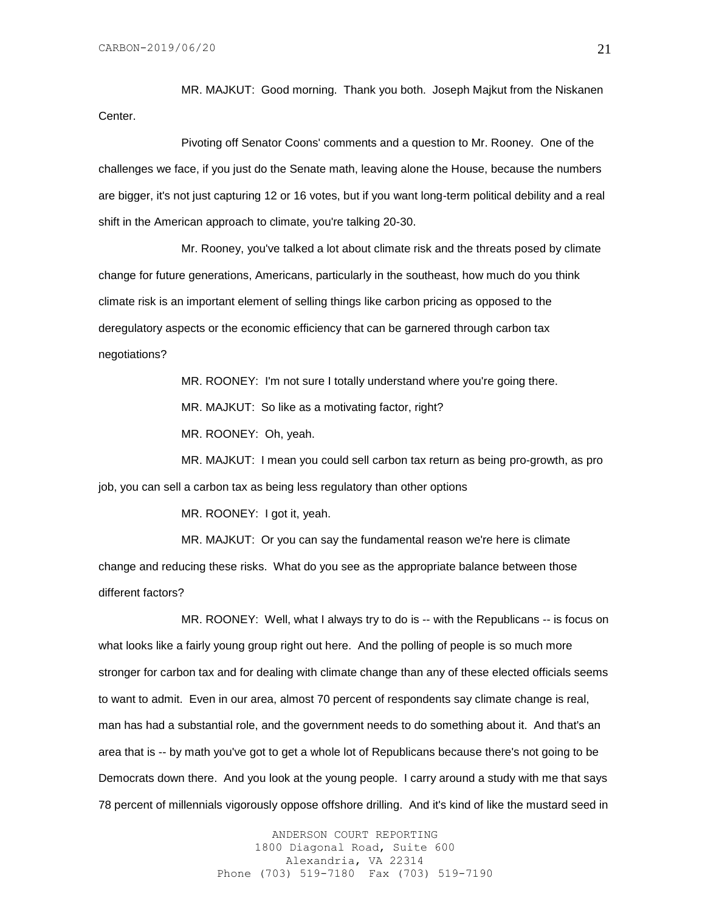MR. MAJKUT: Good morning. Thank you both. Joseph Majkut from the Niskanen Center.

Pivoting off Senator Coons' comments and a question to Mr. Rooney. One of the challenges we face, if you just do the Senate math, leaving alone the House, because the numbers are bigger, it's not just capturing 12 or 16 votes, but if you want long-term political debility and a real shift in the American approach to climate, you're talking 20-30.

Mr. Rooney, you've talked a lot about climate risk and the threats posed by climate change for future generations, Americans, particularly in the southeast, how much do you think climate risk is an important element of selling things like carbon pricing as opposed to the deregulatory aspects or the economic efficiency that can be garnered through carbon tax negotiations?

> MR. ROONEY: I'm not sure I totally understand where you're going there. MR. MAJKUT: So like as a motivating factor, right? MR. ROONEY: Oh, yeah.

MR. MAJKUT: I mean you could sell carbon tax return as being pro-growth, as pro job, you can sell a carbon tax as being less regulatory than other options

MR. ROONEY: I got it, yeah.

MR. MAJKUT: Or you can say the fundamental reason we're here is climate change and reducing these risks. What do you see as the appropriate balance between those different factors?

MR. ROONEY: Well, what I always try to do is -- with the Republicans -- is focus on what looks like a fairly young group right out here. And the polling of people is so much more stronger for carbon tax and for dealing with climate change than any of these elected officials seems to want to admit. Even in our area, almost 70 percent of respondents say climate change is real, man has had a substantial role, and the government needs to do something about it. And that's an area that is -- by math you've got to get a whole lot of Republicans because there's not going to be Democrats down there. And you look at the young people. I carry around a study with me that says 78 percent of millennials vigorously oppose offshore drilling. And it's kind of like the mustard seed in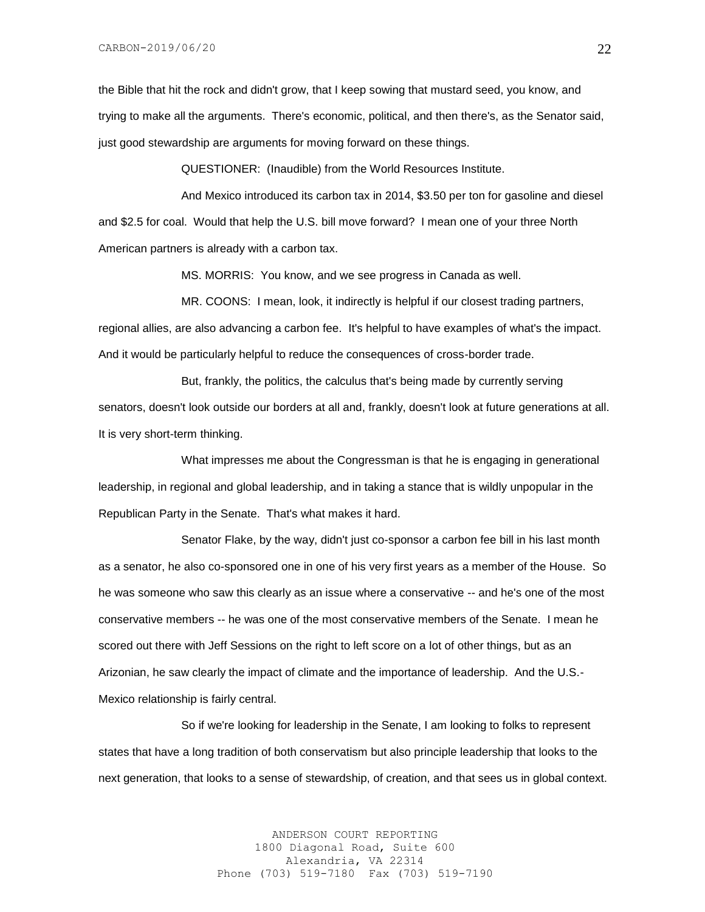the Bible that hit the rock and didn't grow, that I keep sowing that mustard seed, you know, and trying to make all the arguments. There's economic, political, and then there's, as the Senator said, just good stewardship are arguments for moving forward on these things.

QUESTIONER: (Inaudible) from the World Resources Institute.

And Mexico introduced its carbon tax in 2014, \$3.50 per ton for gasoline and diesel and \$2.5 for coal. Would that help the U.S. bill move forward? I mean one of your three North American partners is already with a carbon tax.

MS. MORRIS: You know, and we see progress in Canada as well.

MR. COONS: I mean, look, it indirectly is helpful if our closest trading partners, regional allies, are also advancing a carbon fee. It's helpful to have examples of what's the impact. And it would be particularly helpful to reduce the consequences of cross-border trade.

But, frankly, the politics, the calculus that's being made by currently serving senators, doesn't look outside our borders at all and, frankly, doesn't look at future generations at all. It is very short-term thinking.

What impresses me about the Congressman is that he is engaging in generational leadership, in regional and global leadership, and in taking a stance that is wildly unpopular in the Republican Party in the Senate. That's what makes it hard.

Senator Flake, by the way, didn't just co-sponsor a carbon fee bill in his last month as a senator, he also co-sponsored one in one of his very first years as a member of the House. So he was someone who saw this clearly as an issue where a conservative -- and he's one of the most conservative members -- he was one of the most conservative members of the Senate. I mean he scored out there with Jeff Sessions on the right to left score on a lot of other things, but as an Arizonian, he saw clearly the impact of climate and the importance of leadership. And the U.S.- Mexico relationship is fairly central.

So if we're looking for leadership in the Senate, I am looking to folks to represent states that have a long tradition of both conservatism but also principle leadership that looks to the next generation, that looks to a sense of stewardship, of creation, and that sees us in global context.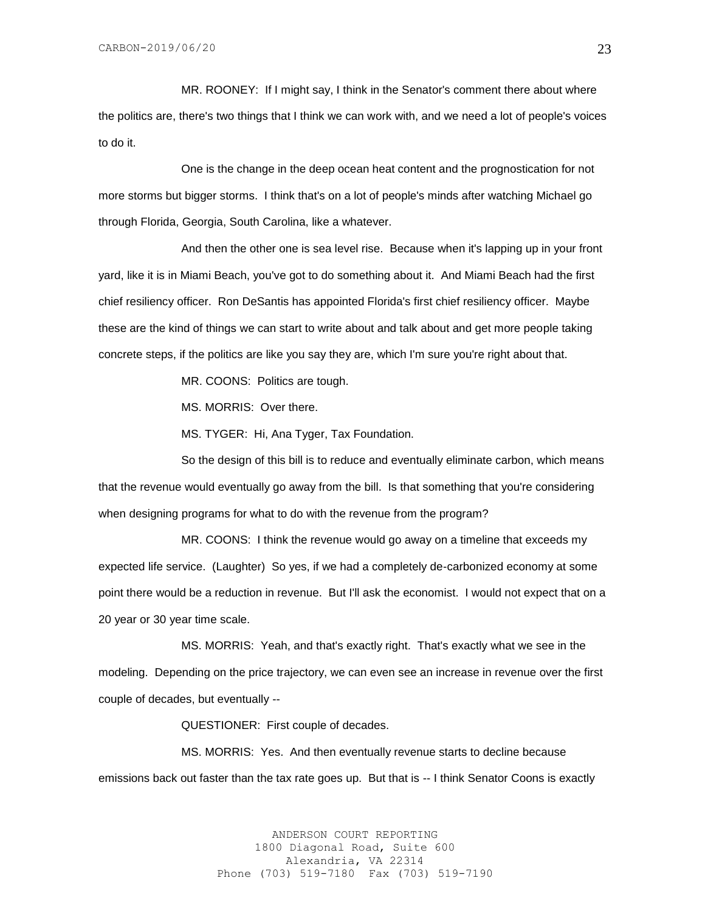MR. ROONEY: If I might say, I think in the Senator's comment there about where the politics are, there's two things that I think we can work with, and we need a lot of people's voices to do it.

One is the change in the deep ocean heat content and the prognostication for not more storms but bigger storms. I think that's on a lot of people's minds after watching Michael go through Florida, Georgia, South Carolina, like a whatever.

And then the other one is sea level rise. Because when it's lapping up in your front yard, like it is in Miami Beach, you've got to do something about it. And Miami Beach had the first chief resiliency officer. Ron DeSantis has appointed Florida's first chief resiliency officer. Maybe these are the kind of things we can start to write about and talk about and get more people taking concrete steps, if the politics are like you say they are, which I'm sure you're right about that.

MR. COONS: Politics are tough.

MS. MORRIS: Over there.

MS. TYGER: Hi, Ana Tyger, Tax Foundation.

So the design of this bill is to reduce and eventually eliminate carbon, which means that the revenue would eventually go away from the bill. Is that something that you're considering when designing programs for what to do with the revenue from the program?

MR. COONS: I think the revenue would go away on a timeline that exceeds my expected life service. (Laughter) So yes, if we had a completely de-carbonized economy at some point there would be a reduction in revenue. But I'll ask the economist. I would not expect that on a 20 year or 30 year time scale.

MS. MORRIS: Yeah, and that's exactly right. That's exactly what we see in the modeling. Depending on the price trajectory, we can even see an increase in revenue over the first couple of decades, but eventually --

QUESTIONER: First couple of decades.

MS. MORRIS: Yes. And then eventually revenue starts to decline because emissions back out faster than the tax rate goes up. But that is -- I think Senator Coons is exactly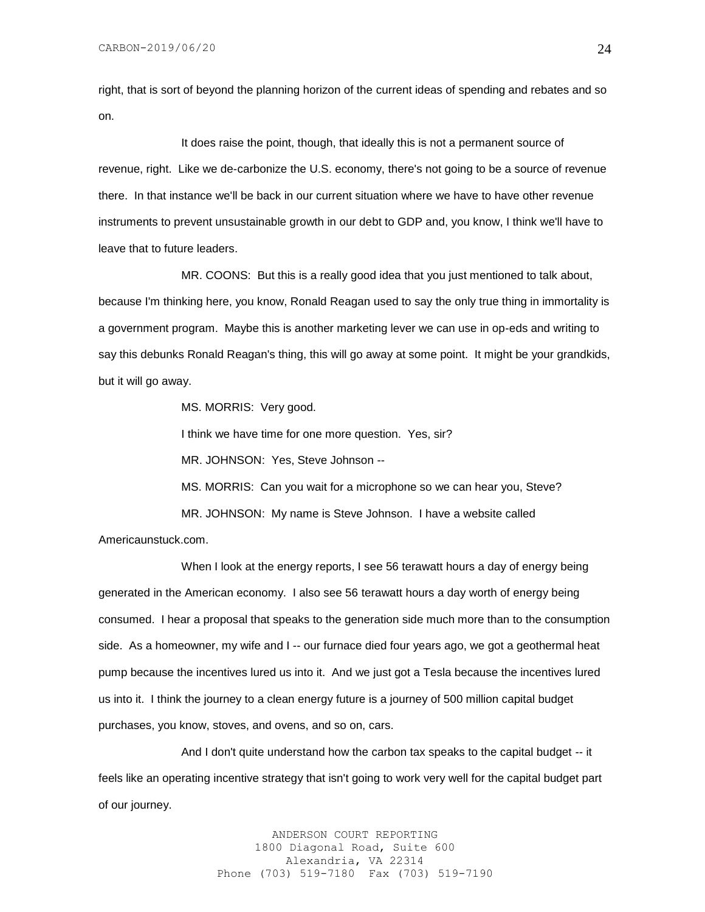right, that is sort of beyond the planning horizon of the current ideas of spending and rebates and so on.

It does raise the point, though, that ideally this is not a permanent source of revenue, right. Like we de-carbonize the U.S. economy, there's not going to be a source of revenue there. In that instance we'll be back in our current situation where we have to have other revenue instruments to prevent unsustainable growth in our debt to GDP and, you know, I think we'll have to leave that to future leaders.

MR. COONS: But this is a really good idea that you just mentioned to talk about, because I'm thinking here, you know, Ronald Reagan used to say the only true thing in immortality is a government program. Maybe this is another marketing lever we can use in op-eds and writing to say this debunks Ronald Reagan's thing, this will go away at some point. It might be your grandkids, but it will go away.

MS. MORRIS: Very good.

I think we have time for one more question. Yes, sir?

MR. JOHNSON: Yes, Steve Johnson --

MS. MORRIS: Can you wait for a microphone so we can hear you, Steve? MR. JOHNSON: My name is Steve Johnson. I have a website called

Americaunstuck.com.

When I look at the energy reports, I see 56 terawatt hours a day of energy being generated in the American economy. I also see 56 terawatt hours a day worth of energy being consumed. I hear a proposal that speaks to the generation side much more than to the consumption side. As a homeowner, my wife and I -- our furnace died four years ago, we got a geothermal heat pump because the incentives lured us into it. And we just got a Tesla because the incentives lured us into it. I think the journey to a clean energy future is a journey of 500 million capital budget purchases, you know, stoves, and ovens, and so on, cars.

And I don't quite understand how the carbon tax speaks to the capital budget -- it feels like an operating incentive strategy that isn't going to work very well for the capital budget part of our journey.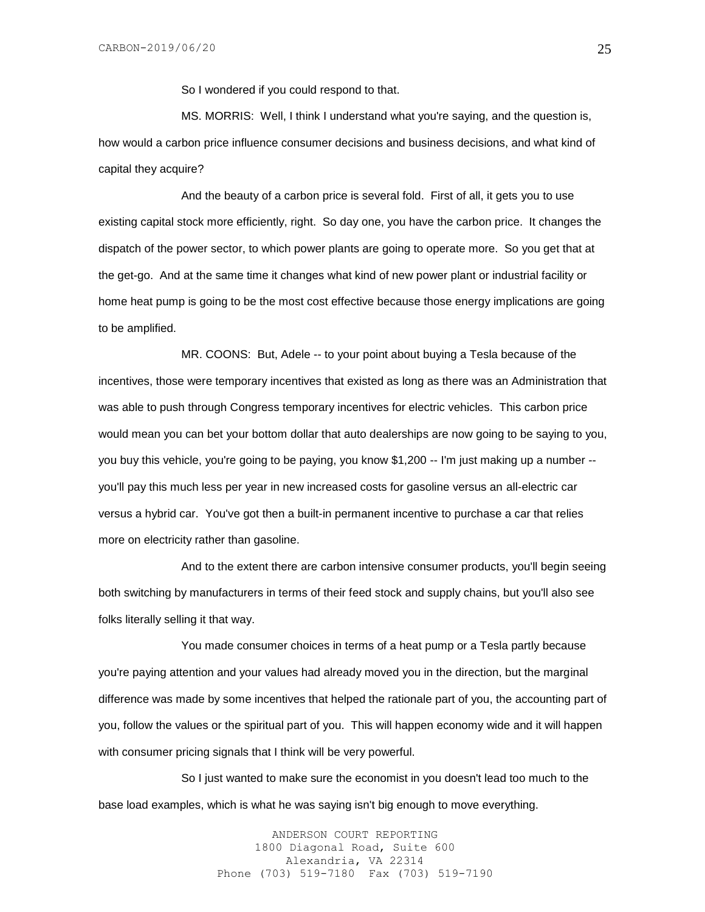So I wondered if you could respond to that.

MS. MORRIS: Well, I think I understand what you're saying, and the question is, how would a carbon price influence consumer decisions and business decisions, and what kind of capital they acquire?

And the beauty of a carbon price is several fold. First of all, it gets you to use existing capital stock more efficiently, right. So day one, you have the carbon price. It changes the dispatch of the power sector, to which power plants are going to operate more. So you get that at the get-go. And at the same time it changes what kind of new power plant or industrial facility or home heat pump is going to be the most cost effective because those energy implications are going to be amplified.

MR. COONS: But, Adele -- to your point about buying a Tesla because of the incentives, those were temporary incentives that existed as long as there was an Administration that was able to push through Congress temporary incentives for electric vehicles. This carbon price would mean you can bet your bottom dollar that auto dealerships are now going to be saying to you, you buy this vehicle, you're going to be paying, you know \$1,200 -- I'm just making up a number - you'll pay this much less per year in new increased costs for gasoline versus an all-electric car versus a hybrid car. You've got then a built-in permanent incentive to purchase a car that relies more on electricity rather than gasoline.

And to the extent there are carbon intensive consumer products, you'll begin seeing both switching by manufacturers in terms of their feed stock and supply chains, but you'll also see folks literally selling it that way.

You made consumer choices in terms of a heat pump or a Tesla partly because you're paying attention and your values had already moved you in the direction, but the marginal difference was made by some incentives that helped the rationale part of you, the accounting part of you, follow the values or the spiritual part of you. This will happen economy wide and it will happen with consumer pricing signals that I think will be very powerful.

So I just wanted to make sure the economist in you doesn't lead too much to the base load examples, which is what he was saying isn't big enough to move everything.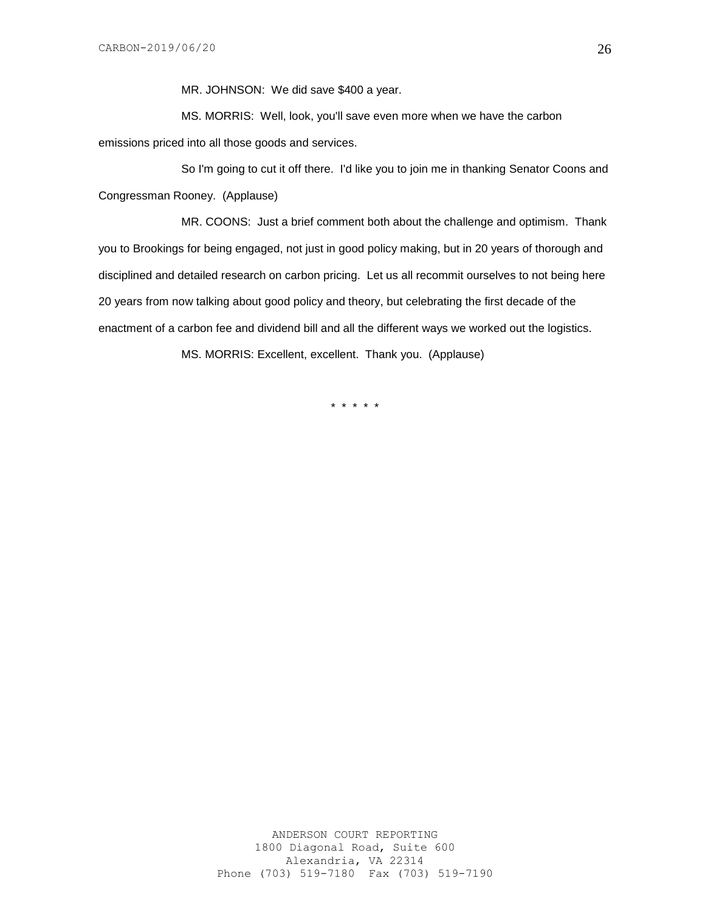MR. JOHNSON: We did save \$400 a year.

MS. MORRIS: Well, look, you'll save even more when we have the carbon emissions priced into all those goods and services.

So I'm going to cut it off there. I'd like you to join me in thanking Senator Coons and Congressman Rooney. (Applause)

MR. COONS: Just a brief comment both about the challenge and optimism. Thank you to Brookings for being engaged, not just in good policy making, but in 20 years of thorough and disciplined and detailed research on carbon pricing. Let us all recommit ourselves to not being here 20 years from now talking about good policy and theory, but celebrating the first decade of the enactment of a carbon fee and dividend bill and all the different ways we worked out the logistics.

MS. MORRIS: Excellent, excellent. Thank you. (Applause)

\* \* \* \* \*